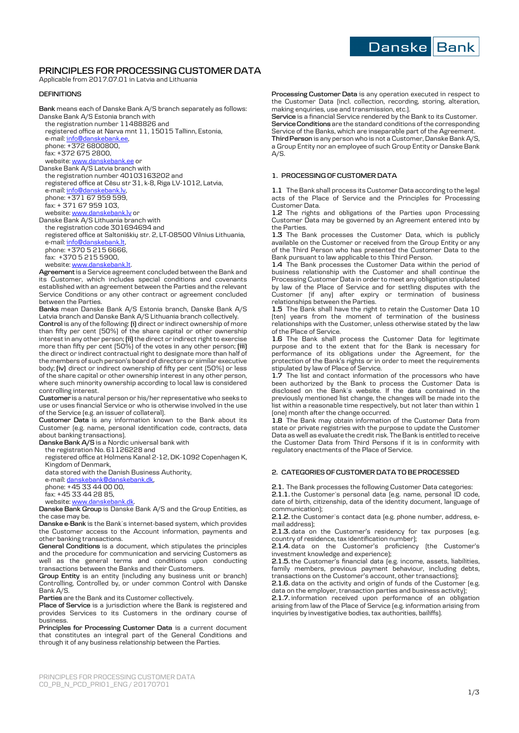

# **PRINCIPLES FOR PROCESSING CUSTOMER DATA**

Applicable from 2017.07.01 in Latvia and Lithuania

# **DEFINITIONS**

**Bank** means each of Danske Bank A/S branch separately as follows: Danske Bank A/S Estonia branch with

the registration number 11488826 and registered office at Narva mnt 11, 15015 Tallinn, Estonia, e-mail[: info@danskebank.ee,](mailto:info@danskebank.ee)  phone: +372 6800800,

fax: +372 675 2800,

website[: www.danskebank.ee](http://www.danskebank.ee/) or Danske Bank A/S Latvia branch with the registration number 40103163202 and registered office at Cēsu str 31, k-8, Riga LV-1012, Latvia, e-mail[: info@danskebank.lv,](mailto:info@danskebank.lv) 

phone: +371 67 959 599, fax: + 371 67 959 103,

website[: www.danskebank.lv o](http://www.danskebank.lv/)r Danske Bank A/S Lithuania branch with the registration code 301694694 and registered office at Saltoniškių str. 2, LT-08500 Vilnius Lithuania, e-mail[: info@danskebank.lt,](mailto:info@danskebank.lt)  phone: +370 5 215 6666, fax: +370 5 215 5900, website[: www.danskebank.lt.](http://www.danskebank.lt/)  **Agreement** is a Service agreement concluded between the Bank and

its Customer, which includes special conditions and covenants established with an agreement between the Parties and the relevant Service Conditions or any other contract or agreement concluded between the Parties.

**Banks** mean Danske Bank A/S Estonia branch, Danske Bank A/S Latvia branch and Danske Bank A/S Lithuania branch collectively.

**Control** is any of the following: **(i)** direct or indirect ownership of more than fifty per cent (50%) of the share capital or other ownership interest in any other person; **(ii)** the direct or indirect right to exercise more than fifty per cent (50%) of the votes in any other person; **(iii)**  the direct or indirect contractual right to designate more than half of the members of such person's board of directors or similar executive body; **(iv)** direct or indirect ownership of fifty per cent (50%) or less of the share capital or other ownership interest in any other person, where such minority ownership according to local law is considered controlling interest.

**Customer** is a natural person or his/her representative who seeks to use or uses financial Service or who is otherwise involved in the use of the Service (e.g. an issuer of collateral).

**Customer Data** is any information known to the Bank about its Customer (e.g. name, personal identification code, contracts, data about banking transactions).

**Danske Bank A/S** is a Nordic universal bank with

the registration No. 61126228 and

registered office at Holmens Kanal 2-12, DK-1092 Copenhagen K, Kingdom of Denmark,

data stored with the Danish Business Authority,

e-mail[: danskebank@danskebank.dk,](mailto:danskebank@danskebank.dk) 

phone: +45 33 44 00 00,

fax: +45 33 44 28 85,

website[: www.danskebank.dk.](http://www.danskebank.dk/) 

**Danske Bank Group** is Danske Bank A/S and the Group Entities, as the case may be.

**Danske e-Bank** is the Bank`s internet-based system, which provides the Customer access to the Account information, payments and other banking transactions.

**General Conditions** is a document, which stipulates the principles and the procedure for communication and servicing Customers as well as the general terms and conditions upon conducting transactions between the Banks and their Customers.

**Group Entity** is an entity (including any business unit or branch) Controlling, Controlled by, or under common Control with Danske Bank A/S.

**Parties** are the Bank and its Customer collectively.

**Place of Service** is a jurisdiction where the Bank is registered and provides Services to its Customers in the ordinary course of business.

**Principles for Processing Customer Data** is a current document that constitutes an integral part of the General Conditions and through it of any business relationship between the Parties.

**Processing Customer Data** is any operation executed in respect to the Customer Data (incl. collection, recording, storing, alteration, making enquiries, use and transmission, etc.).

**Service** is a financial Service rendered by the Bank to its Customer. **Service Conditions** are the standard conditions of the corresponding Service of the Banks, which are inseparable part of the Agreement.

**Third Person** is any person who is not a Customer, Danske Bank A/S, a Group Entity nor an employee of such Group Entity or Danske Bank  $A/S.$ 

### **1. PROCESSING OF CUSTOMER DATA**

**1.1** The Bank shall process its Customer Data according to the legal acts of the Place of Service and the Principles for Processing Customer Data.

**1.2** The rights and obligations of the Parties upon Processing Customer Data may be governed by an Agreement entered into by the Parties.

**1.3** The Bank processes the Customer Data, which is publicly available on the Customer or received from the Group Entity or any of the Third Person who has presented the Customer Data to the Bank pursuant to law applicable to this Third Person.

**1.4** The Bank processes the Customer Data within the period of business relationship with the Customer and shall continue the Processing Customer Data in order to meet any obligation stipulated by law of the Place of Service and for settling disputes with the Customer (if any) after expiry or termination of business relationships between the Parties.

**1.5** The Bank shall have the right to retain the Customer Data 10 (ten) years from the moment of termination of the business relationships with the Customer, unless otherwise stated by the law of the Place of Service.

**1.6** The Bank shall process the Customer Data for legitimate purpose and to the extent that for the Bank is necessary for performance of its obligations under the Agreement, for the protection of the Bank's rights or in order to meet the requirements stipulated by law of Place of Service.

1.7 The list and contact information of the processors who have been authorized by the Bank to process the Customer Data is disclosed on the Bank`s website. If the data contained in the previously mentioned list change, the changes will be made into the list within a reasonable time respectively, but not later than within 1 (one) month after the change occurred.

**1.8** The Bank may obtain information of the Customer Data from state or private registries with the purpose to update the Customer Data as well as evaluate the credit risk. The Bank is entitled to receive the Customer Data from Third Persons if it is in conformity with regulatory enactments of the Place of Service.

### **2. CATEGORIES OF CUSTOMER DATA TO BE PROCESSED**

**2.1.** The Bank processes the following Customer Data categories: **2.1.1.** the Customer`s personal data (e.g. name, personal ID code, date of birth, citizenship, data of the identity document, language of communication);

**2.1.2.** the Customer`s contact data (e.g. phone number, address, email address);

**2.1.3.** data on the Customer's residency for tax purposes (e.g. country of residence, tax identification number);

**2.1.4.** data on the Customer's proficiency (the Customer's investment knowledge and experience);

**2.1.5.** the Customer's financial data (e.g. income, assets, liabilities, family members, previous payment behaviour, including debts, transactions on the Customer's account, other transactions);

**2.1.6.** data on the activity and origin of funds of the Customer (e.g. data on the employer, transaction parties and business activity);

**2.1.7.** information received upon performance of an obligation arising from law of the Place of Service (e.g. information arising from inquiries by investigative bodies, tax authorities, bailiffs).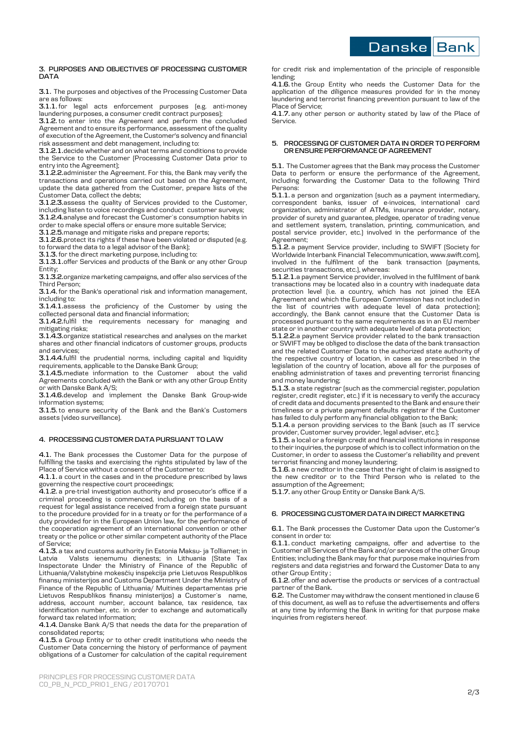Danske Bank

#### **3. PURPOSES AND OBJECTIVES OF PROCESSING CUSTOMER DATA**

**3.1.** The purposes and objectives of the Processing Customer Data are as follows:

**3.1.1.** for legal acts enforcement purposes (e.g. anti-money laundering purposes, a consumer credit contract purposes);

**3.1.2.** to enter into the Agreement and perform the concluded Agreement and to ensure its performance, assessment of the quality of execution of the Agreement, the Customer's solvency and financial risk assessment and debt management, including to:

**3.1.2.1.**decide whether and on what terms and conditions to provide the Service to the Customer (Processing Customer Data prior to entry into the Agreement);

**3.1.2.2.**administer the Agreement. For this, the Bank may verify the transactions and operations carried out based on the Agreement, update the data gathered from the Customer, prepare lists of the Customer Data, collect the debts;

**3.1.2.3.**assess the quality of Services provided to the Customer, including listen to voice recordings and conduct customer surveys;

**3.1.2.4.**analyse and forecast the Customer`s consumption habits in order to make special offers or ensure more suitable Service;

**3.1.2.5.**manage and mitigate risks and prepare reports;

**3.1.2.6.**protect its rights if these have been violated or disputed (e.g. to forward the data to a legal advisor of the Bank);

**3.1.3.** for the direct marketing purpose, including to:

**3.1.3.1.**offer Services and products of the Bank or any other Group Entity;

**3.1.3.2.**organize marketing campaigns, and offer also services of the Third Person;

**3.1.4.** for the Bank's operational risk and information management, including to:

**3.1.4.1.**assess the proficiency of the Customer by using the collected personal data and financial information;

**3.1.4.2.**fulfil the requirements necessary for managing and mitigating risks;

**3.1.4.3.**organize statistical researches and analyses on the market shares and other financial indicators of customer groups, products and services;

**3.1.4.4.**fulfil the prudential norms, including capital and liquidity requirements, applicable to the Danske Bank Group;

**3.1.4.5.**mediate information to the Customer about the valid Agreements concluded with the Bank or with any other Group Entity or with Danske Bank A/S;

**3.1.4.6.**develop and implement the Danske Bank Group-wide information systems;

**3.1.5.** to ensure security of the Bank and the Bank's Customers assets (video surveillance).

# **4. PROCESSING CUSTOMER DATA PURSUANT TO LAW**

**4.1.** The Bank processes the Customer Data for the purpose of fulfilling the tasks and exercising the rights stipulated by law of the Place of Service without a consent of the Customer to:

**4.1.1.** a court in the cases and in the procedure prescribed by laws governing the respective court proceedings;

**4.1.2.** a pre-trial investigation authority and prosecutor's office if a criminal proceeding is commenced, including on the basis of a request for legal assistance received from a foreign state pursuant to the procedure provided for in a treaty or for the performance of a duty provided for in the European Union law, for the performance of the cooperation agreement of an international convention or other treaty or the police or other similar competent authority of the Place of Service;

**4.1.3.** a tax and customs authority (in Estonia Maksu- ja Tolliamet; in Latvia Valsts ieņemumu dienests; in Lithuania (State Tax Inspectorate Under the Ministry of Finance of the Republic of Lithuania/Valstybinė mokesčių inspekcija prie Lietuvos Respublikos finansų ministerijos and Customs Department Under the Ministry of Finance of the Republic of Lithuania/ Muitinės departamentas prie Lietuvos Respublikos finansų ministerijos) a Customer`s name, address, account number, account balance, tax residence, tax identification number, etc. in order to exchange and automatically forward tax related information;

**4.1.4.** Danske Bank A/S that needs the data for the preparation of consolidated reports;

**4.1.5.** a Group Entity or to other credit institutions who needs the Customer Data concerning the history of performance of payment obligations of a Customer for calculation of the capital requirement

for credit risk and implementation of the principle of responsible lending;

**4.1.6.** the Group Entity who needs the Customer Data for the application of the diligence measures provided for in the money laundering and terrorist financing prevention pursuant to law of the Place of Service;

**4.1.7.** any other person or authority stated by law of the Place of Service.

#### **5. PROCESSING OF CUSTOMER DATA IN ORDER TO PERFORM OR ENSURE PERFORMANCE OF AGREEMENT**

**5.1.** The Customer agrees that the Bank may process the Customer Data to perform or ensure the performance of the Agreement, including forwarding the Customer Data to the following Third Persons:

**5.1.1.** a person and organization (such as a payment intermediary, correspondent banks, issuer of e-invoices, international card organization, administrator of ATMs, insurance provider, notary, provider of surety and guarantee, pledgee, operator of trading venue and settlement system, translation, printing, communication, and postal service provider, etc.) involved in the performance of the Agreement;

**5.1.2.** a payment Service provider, including to SWIFT (Society for Worldwide Interbank Financial Telecommunication, www.swift.com), involved in the fulfilment of the bank transaction (payments, securities transactions, etc.), whereas:

**5.1.2.1.**a payment Service provider, involved in the fulfilment of bank transactions may be located also in a country with inadequate data protection level (i.e. a country, which has not joined the EEA Agreement and which the European Commission has not included in the list of countries with adequate level of data protection); accordingly, the Bank cannot ensure that the Customer Data is processed pursuant to the same requirements as in an EU member state or in another country with adequate level of data protection;

**5.1.2.2.**a payment Service provider related to the bank transaction or SWIFT may be obliged to disclose the data of the bank transaction and the related Customer Data to the authorized state authority of the respective country of location, in cases as prescribed in the legislation of the country of location, above all for the purposes of enabling administration of taxes and preventing terrorist financing and money laundering;

**5.1.3.** a state registrar (such as the commercial register, population register, credit register, etc.) if it is necessary to verify the accuracy of credit data and documents presented to the Bank and ensure their timeliness or a private payment defaults registrar if the Customer has failed to duly perform any financial obligation to the Bank;

**5.1.4.** a person providing services to the Bank (such as IT service provider, Customer survey provider, legal adviser, etc.);

**5.1.5.** a local or a foreign credit and financial institutions in response to their inquiries, the purpose of which is to collect information on the Customer, in order to assess the Customer's reliability and prevent terrorist financing and money laundering;

**5.1.6.** a new creditor in the case that the right of claim is assigned to the new creditor or to the Third Person who is related to the assumption of the Agreement;

**5.1.7.** any other Group Entity or Danske Bank A/S.

## **6. PROCESSING CUSTOMER DATA IN DIRECT MARKETING**

#### **6.1.** The Bank processes the Customer Data upon the Customer's consent in order to:

**6.1.1.** conduct marketing campaigns, offer and advertise to the Customer all Services of the Bank and/or services of the other Group Entities; including the Bank may for that purpose make inquiries from registers and data registries and forward the Customer Data to any other Group Entity ;

**6.1.2.** offer and advertise the products or services of a contractual partner of the Bank.

**6.2.** The Customer may withdraw the consent mentioned in clause 6 of this document, as well as to refuse the advertisements and offers at any time by informing the Bank in writing for that purpose make inquiries from registers hereof.